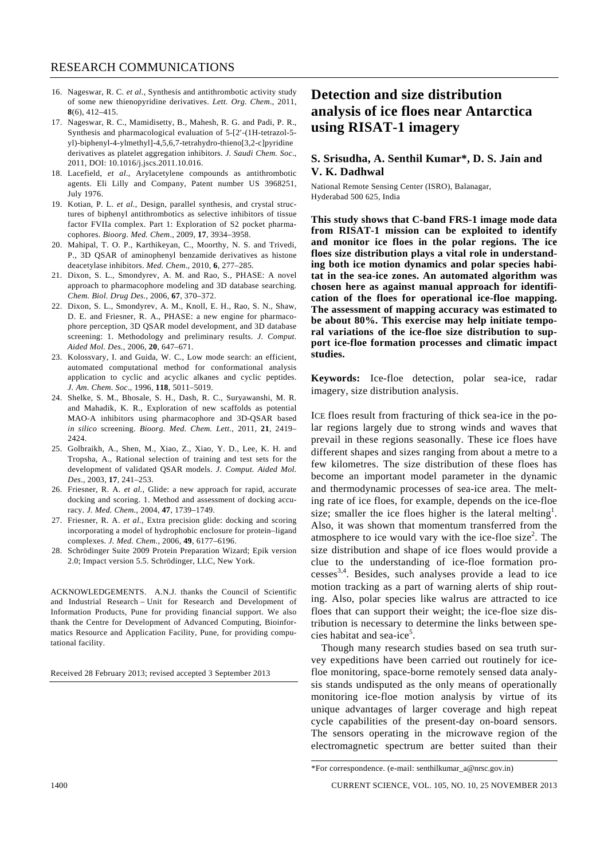- 16. Nageswar, R. C. *et al.*, Synthesis and antithrombotic activity study of some new thienopyridine derivatives. *Lett. Org. Chem*., 2011, **8**(6), 412–415.
- 17. Nageswar, R. C., Mamidisetty, B., Mahesh, R. G. and Padi, P. R., Synthesis and pharmacological evaluation of 5-[2′-(1H-tetrazol-5 yl)-biphenyl-4-ylmethyl]-4,5,6,7-tetrahydro-thieno[3,2-c]pyridine derivatives as platelet aggregation inhibitors. *J. Saudi Chem. Soc*., 2011, DOI: 10.1016/j.jscs.2011.10.016.
- 18. Lacefield, *et al*., Arylacetylene compounds as antithrombotic agents. Eli Lilly and Company, Patent number US 3968251, July 1976.
- 19. Kotian, P. L. *et al.*, Design, parallel synthesis, and crystal structures of biphenyl antithrombotics as selective inhibitors of tissue factor FVIIa complex. Part 1: Exploration of S2 pocket pharmacophores. *Bioorg. Med. Chem*., 2009, **17**, 3934–3958.
- 20. Mahipal, T. O. P., Karthikeyan, C., Moorthy, N. S. and Trivedi, P., 3D QSAR of aminophenyl benzamide derivatives as histone deacetylase inhibitors. *Med. Chem*., 2010, **6**, 277–285.
- 21. Dixon, S. L., Smondyrev, A. M. and Rao, S., PHASE: A novel approach to pharmacophore modeling and 3D database searching. *Chem. Biol. Drug Des.*, 2006, **67**, 370–372.
- 22. Dixon, S. L., Smondyrev, A. M., Knoll, E. H., Rao, S. N., Shaw, D. E. and Friesner, R. A., PHASE: a new engine for pharmacophore perception, 3D QSAR model development, and 3D database screening: 1. Methodology and preliminary results. *J. Comput. Aided Mol. Des.*, 2006, **20**, 647–671.
- 23. Kolossvary, I. and Guida, W. C., Low mode search: an efficient, automated computational method for conformational analysis application to cyclic and acyclic alkanes and cyclic peptides. *J. Am. Chem. Soc*., 1996, **118**, 5011–5019.
- 24. Shelke, S. M., Bhosale, S. H., Dash, R. C., Suryawanshi, M. R. and Mahadik, K. R., Exploration of new scaffolds as potential MAO-A inhibitors using pharmacophore and 3D-QSAR based *in silico* screening. *Bioorg. Med. Chem. Lett.*, 2011, **21**, 2419– 2424.
- 25. Golbraikh, A., Shen, M., Xiao, Z., Xiao, Y. D., Lee, K. H. and Tropsha, A., Rational selection of training and test sets for the development of validated QSAR models. *J. Comput. Aided Mol. Des*., 2003, **17**, 241–253.
- 26. Friesner, R. A. *et al.*, Glide: a new approach for rapid, accurate docking and scoring. 1. Method and assessment of docking accuracy. *J. Med. Chem.*, 2004, **47**, 1739–1749.
- 27. Friesner, R. A. *et al.*, Extra precision glide: docking and scoring incorporating a model of hydrophobic enclosure for protein–ligand complexes. *J. Med. Chem.*, 2006, **49**, 6177–6196.
- 28. Schrödinger Suite 2009 Protein Preparation Wizard; Epik version 2.0; Impact version 5.5. Schrödinger, LLC, New York.

ACKNOWLEDGEMENTS. A.N.J. thanks the Council of Scientific and Industrial Research – Unit for Research and Development of Information Products, Pune for providing financial support. We also thank the Centre for Development of Advanced Computing, Bioinformatics Resource and Application Facility, Pune, for providing computational facility.

Received 28 February 2013; revised accepted 3 September 2013

## **Detection and size distribution analysis of ice floes near Antarctica using RISAT-1 imagery**

## **S. Srisudha, A. Senthil Kumar\*, D. S. Jain and V. K. Dadhwal**

National Remote Sensing Center (ISRO), Balanagar, Hyderabad 500 625, India

**This study shows that C-band FRS-1 image mode data from RISAT-1 mission can be exploited to identify and monitor ice floes in the polar regions. The ice floes size distribution plays a vital role in understanding both ice motion dynamics and polar species habitat in the sea-ice zones. An automated algorithm was chosen here as against manual approach for identification of the floes for operational ice-floe mapping. The assessment of mapping accuracy was estimated to be about 80%. This exercise may help initiate temporal variations of the ice-floe size distribution to support ice-floe formation processes and climatic impact studies.** 

**Keywords:** Ice-floe detection, polar sea-ice, radar imagery, size distribution analysis.

ICE floes result from fracturing of thick sea-ice in the polar regions largely due to strong winds and waves that prevail in these regions seasonally. These ice floes have different shapes and sizes ranging from about a metre to a few kilometres. The size distribution of these floes has become an important model parameter in the dynamic and thermodynamic processes of sea-ice area. The melting rate of ice floes, for example, depends on the ice-floe size; smaller the ice floes higher is the lateral melting<sup>1</sup>. Also, it was shown that momentum transferred from the atmosphere to ice would vary with the ice-floe size<sup>2</sup>. The size distribution and shape of ice floes would provide a clue to the understanding of ice-floe formation processes3,4. Besides, such analyses provide a lead to ice motion tracking as a part of warning alerts of ship routing. Also, polar species like walrus are attracted to ice floes that can support their weight; the ice-floe size distribution is necessary to determine the links between species habitat and sea-ice<sup>5</sup>.

 Though many research studies based on sea truth survey expeditions have been carried out routinely for icefloe monitoring, space-borne remotely sensed data analysis stands undisputed as the only means of operationally monitoring ice-floe motion analysis by virtue of its unique advantages of larger coverage and high repeat cycle capabilities of the present-day on-board sensors. The sensors operating in the microwave region of the electromagnetic spectrum are better suited than their

<sup>\*</sup>For correspondence. (e-mail: senthilkumar\_a@nrsc.gov.in)

<sup>1400</sup> CURRENT SCIENCE, VOL. 105, NO. 10, 25 NOVEMBER 2013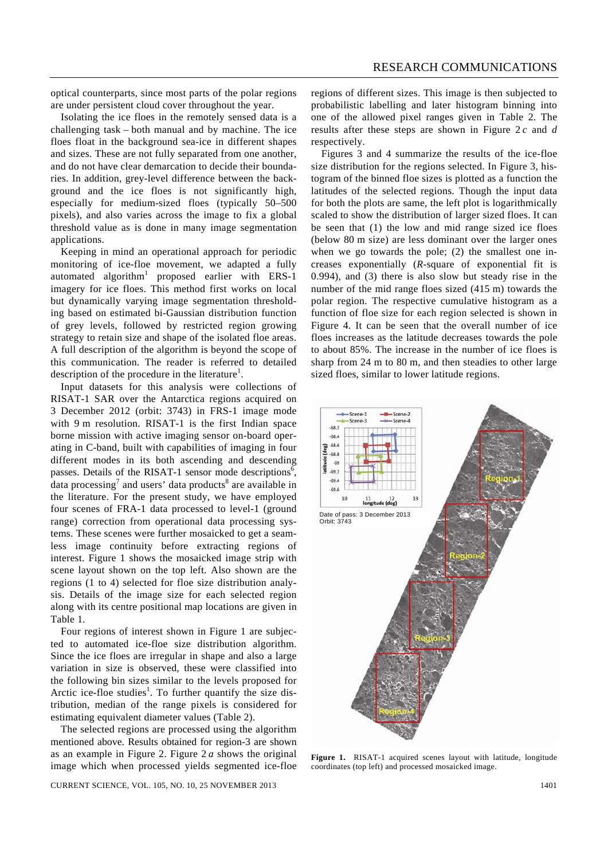optical counterparts, since most parts of the polar regions are under persistent cloud cover throughout the year.

 Isolating the ice floes in the remotely sensed data is a challenging task – both manual and by machine. The ice floes float in the background sea-ice in different shapes and sizes. These are not fully separated from one another, and do not have clear demarcation to decide their boundaries. In addition, grey-level difference between the background and the ice floes is not significantly high, especially for medium-sized floes (typically 50–500 pixels), and also varies across the image to fix a global threshold value as is done in many image segmentation applications.

 Keeping in mind an operational approach for periodic monitoring of ice-floe movement, we adapted a fully automated algorithm<sup>1</sup> proposed earlier with ERS-1 imagery for ice floes. This method first works on local but dynamically varying image segmentation thresholding based on estimated bi-Gaussian distribution function of grey levels, followed by restricted region growing strategy to retain size and shape of the isolated floe areas. A full description of the algorithm is beyond the scope of this communication. The reader is referred to detailed description of the procedure in the literature<sup>1</sup>.

 Input datasets for this analysis were collections of RISAT-1 SAR over the Antarctica regions acquired on 3 December 2012 (orbit: 3743) in FRS-1 image mode with 9 m resolution. RISAT-1 is the first Indian space borne mission with active imaging sensor on-board operating in C-band, built with capabilities of imaging in four different modes in its both ascending and descending passes. Details of the RISAT-1 sensor mode descriptions<sup> $\bar{6}$ </sup>, data processing<sup>7</sup> and users' data products<sup>8</sup> are available in the literature. For the present study, we have employed four scenes of FRA-1 data processed to level-1 (ground range) correction from operational data processing systems. These scenes were further mosaicked to get a seamless image continuity before extracting regions of interest. Figure 1 shows the mosaicked image strip with scene layout shown on the top left. Also shown are the regions (1 to 4) selected for floe size distribution analysis. Details of the image size for each selected region along with its centre positional map locations are given in Table 1.

 Four regions of interest shown in Figure 1 are subjected to automated ice-floe size distribution algorithm. Since the ice floes are irregular in shape and also a large variation in size is observed, these were classified into the following bin sizes similar to the levels proposed for Arctic ice-floe studies<sup>1</sup>. To further quantify the size distribution, median of the range pixels is considered for estimating equivalent diameter values (Table 2).

 The selected regions are processed using the algorithm mentioned above. Results obtained for region-3 are shown as an example in Figure 2. Figure 2 *a* shows the original image which when processed yields segmented ice-floe

CURRENT SCIENCE, VOL. 105, NO. 10, 25 NOVEMBER 2013 1401

regions of different sizes. This image is then subjected to probabilistic labelling and later histogram binning into one of the allowed pixel ranges given in Table 2. The results after these steps are shown in Figure 2 *c* and *d* respectively.

 Figures 3 and 4 summarize the results of the ice-floe size distribution for the regions selected. In Figure 3, histogram of the binned floe sizes is plotted as a function the latitudes of the selected regions. Though the input data for both the plots are same, the left plot is logarithmically scaled to show the distribution of larger sized floes. It can be seen that (1) the low and mid range sized ice floes (below 80 m size) are less dominant over the larger ones when we go towards the pole; (2) the smallest one increases exponentially (*R*-square of exponential fit is 0.994), and (3) there is also slow but steady rise in the number of the mid range floes sized (415 m) towards the polar region. The respective cumulative histogram as a function of floe size for each region selected is shown in Figure 4. It can be seen that the overall number of ice floes increases as the latitude decreases towards the pole to about 85%. The increase in the number of ice floes is sharp from 24 m to 80 m, and then steadies to other large sized floes, similar to lower latitude regions.



**Figure 1.** RISAT-1 acquired scenes layout with latitude, longitude coordinates (top left) and processed mosaicked image.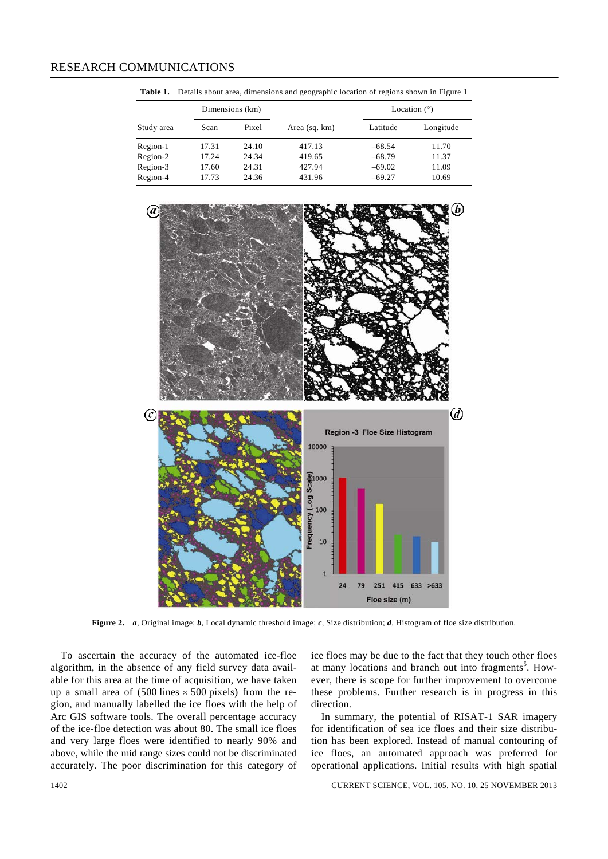|            | Dimensions (km) |       |               |          | Location $(°)$ |  |
|------------|-----------------|-------|---------------|----------|----------------|--|
| Study area | Scan            | Pixel | Area (sq. km) | Latitude | Longitude      |  |
| Region-1   | 17.31           | 24.10 | 417.13        | $-68.54$ | 11.70          |  |
| Region-2   | 17.24           | 24.34 | 419.65        | $-68.79$ | 11.37          |  |
| Region-3   | 17.60           | 24.31 | 427.94        | $-69.02$ | 11.09          |  |
| Region-4   | 17.73           | 24.36 | 431.96        | $-69.27$ | 10.69          |  |

**Table 1.** Details about area, dimensions and geographic location of regions shown in Figure 1



**Figure 2.** *a*, Original image; *b*, Local dynamic threshold image; *c*, Size distribution; *d*, Histogram of floe size distribution.

 To ascertain the accuracy of the automated ice-floe algorithm, in the absence of any field survey data available for this area at the time of acquisition, we have taken up a small area of  $(500 \text{ lines} \times 500 \text{ pixels})$  from the region, and manually labelled the ice floes with the help of Arc GIS software tools. The overall percentage accuracy of the ice-floe detection was about 80. The small ice floes and very large floes were identified to nearly 90% and above, while the mid range sizes could not be discriminated accurately. The poor discrimination for this category of

ice floes may be due to the fact that they touch other floes at many locations and branch out into fragments<sup>5</sup>. However, there is scope for further improvement to overcome these problems. Further research is in progress in this direction.

 In summary, the potential of RISAT-1 SAR imagery for identification of sea ice floes and their size distribution has been explored. Instead of manual contouring of ice floes, an automated approach was preferred for operational applications. Initial results with high spatial